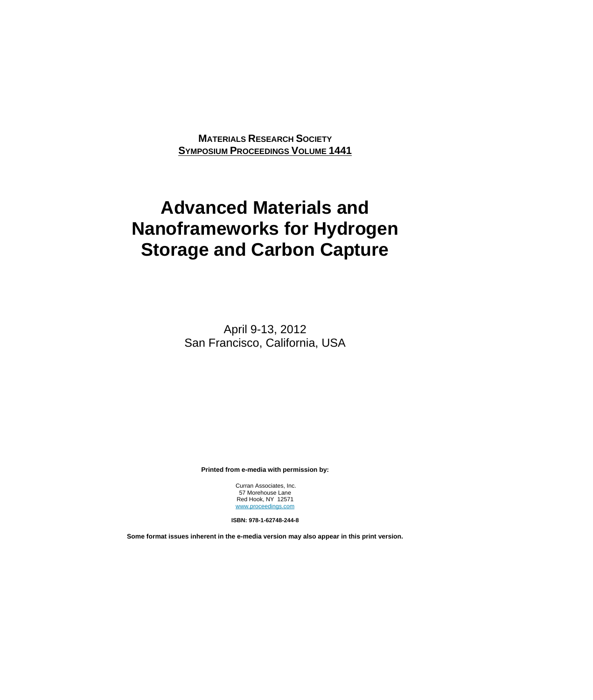**MATERIALS RESEARCH SOCIETY SYMPOSIUM PROCEEDINGS VOLUME 1441**

# **Advanced Materials and Nanoframeworks for Hydrogen Storage and Carbon Capture**

April 9-13, 2012 San Francisco, California, USA

**Printed from e-media with permission by:** 

 Curran Associates, Inc. 57 Morehouse Lane Red Hook, NY 12571 www.proceedings.com

**ISBN: 978-1-62748-244-8** 

**Some format issues inherent in the e-media version may also appear in this print version.**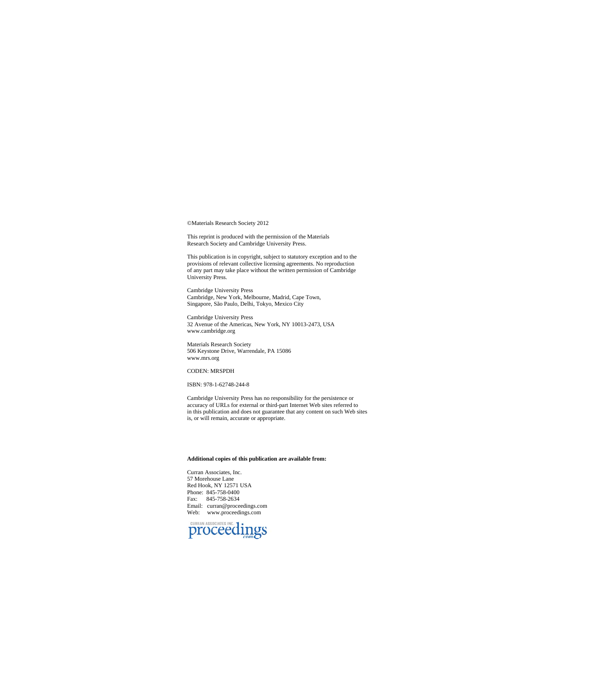©Materials Research Society 2012

This reprint is produced with the permission of the Materials Research Society and Cambridge University Press.

This publication is in copyright, subject to statutory exception and to the provisions of relevant collective licensing agreements. No reproduction of any part may take place without the written permission of Cambridge Uni

Cambridge University Press Cambridge, New York, Melbourne, Madrid, Cape Town, Singapore, São Paulo, Delhi, Tokyo, Mexico City

Cambridge University Press 32 Avenue of the Americas, New York, NY 10013-2473, USA www.cambridge.org

Materials Research Society 506 Keystone Drive, Warrendale, PA 15086 www.mrs.org

### CODEN: MRSPDH

#### ISBN: 978-1-62748-244-8

Cambridge University Press has no responsibility for the persistence or accuracy of URLs for external or third-part Internet Web sites referred to in this publication and does not guarantee that any content on such Web sites is, or will remain, accurate or appropriate.

#### **Additional copies of this publication are available from:**

Curran Associates, Inc. 57 Morehouse Lane Red Hook, NY 12571 USA Phone: 845-758-0400 Fax: 845-758-2634 Email: curran@proceedings.com Web: www.proceedings.com